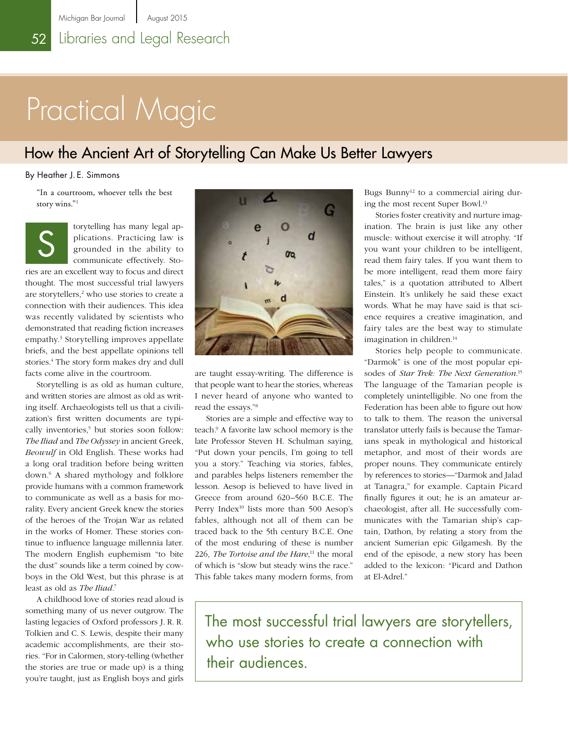# Practical Magic

## How the Ancient Art of Storytelling Can Make Us Better Lawyers

### By Heather J. E. Simmons

"In a courtroom, whoever tells the best story wins."1

torytelling has many legal applications. Practicing law is grounded in the ability to communicate effectively. Stories are an excellent way to focus and direct thought. The most successful trial lawyers are storytellers,<sup>2</sup> who use stories to create a connection with their audiences. This idea was recently validated by scientists who demonstrated that reading fiction increases empathy.<sup>3</sup> Storytelling improves appellate briefs, and the best appellate opinions tell stories.<sup>4</sup> The story form makes dry and dull facts come alive in the courtroom. S

Storytelling is as old as human culture, and written stories are almost as old as writing itself. Archaeologists tell us that a civilization's first written documents are typically inventories,<sup>5</sup> but stories soon follow: *The Iliad* and *The Odyssey* in ancient Greek, *Beowulf* in Old English. These works had a long oral tradition before being written down.6 A shared mythology and folklore provide humans with a common framework to communicate as well as a basis for morality. Every ancient Greek knew the stories of the heroes of the Trojan War as related in the works of Homer. These stories continue to influence language millennia later. The modern English euphemism "to bite the dust" sounds like a term coined by cowboys in the Old West, but this phrase is at least as old as *The Iliad*. 7

A childhood love of stories read aloud is something many of us never outgrow. The lasting legacies of Oxford professors J. R. R. Tolkien and C. S. Lewis, despite their many academic accomplishments, are their stories. "For in Calormen, story-telling (whether the stories are true or made up) is a thing you're taught, just as English boys and girls



are taught essay-writing. The difference is that people want to hear the stories, whereas I never heard of anyone who wanted to read the essays."8

Stories are a simple and effective way to teach.9 A favorite law school memory is the late Professor Steven H. Schulman saying, "Put down your pencils, I'm going to tell you a story." Teaching via stories, fables, and parables helps listeners remember the lesson. Aesop is believed to have lived in Greece from around 620–560 B.C.E. The Perry Index<sup>10</sup> lists more than 500 Aesop's fables, although not all of them can be traced back to the 5th century B.C.E. One of the most enduring of these is number 226, *The Tortoise and the Hare*, 11 the moral of which is "slow but steady wins the race." This fable takes many modern forms, from

Bugs Bunny<sup>12</sup> to a commercial airing during the most recent Super Bowl.13

Stories foster creativity and nurture imagination. The brain is just like any other muscle: without exercise it will atrophy. "If you want your children to be intelligent, read them fairy tales. If you want them to be more intelligent, read them more fairy tales," is a quotation attributed to Albert Einstein. It's unlikely he said these exact words. What he may have said is that science requires a creative imagination, and fairy tales are the best way to stimulate imagination in children.<sup>14</sup>

Stories help people to communicate. "Darmok" is one of the most popular episodes of *Star Trek: The Next Generation*. 15 The language of the Tamarian people is completely unintelligible. No one from the Federation has been able to figure out how to talk to them. The reason the universal translator utterly fails is because the Tamarians speak in mythological and historical metaphor, and most of their words are proper nouns. They communicate entirely by references to stories—"Darmok and Jalad at Tanagra," for example. Captain Picard finally figures it out; he is an amateur archaeologist, after all. He successfully communicates with the Tamarian ship's captain, Dathon, by relating a story from the ancient Sumerian epic Gilgamesh. By the end of the episode, a new story has been added to the lexicon: "Picard and Dathon at El-Adrel."

The most successful trial lawyers are storytellers, who use stories to create a connection with their audiences.